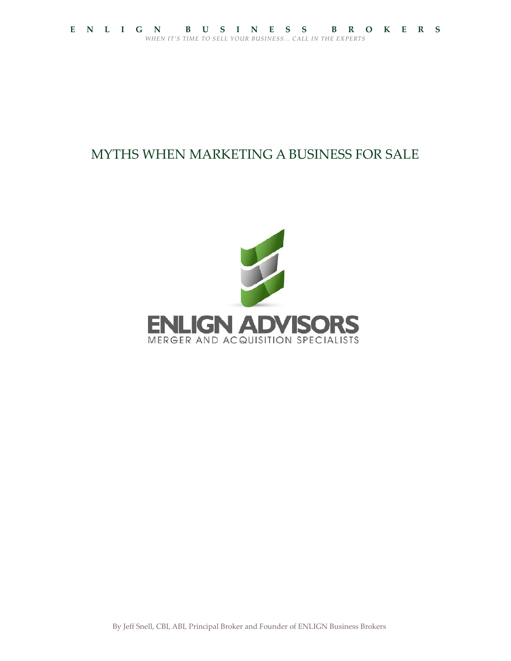# MYTHS WHEN MARKETING A BUSINESS FOR SALE

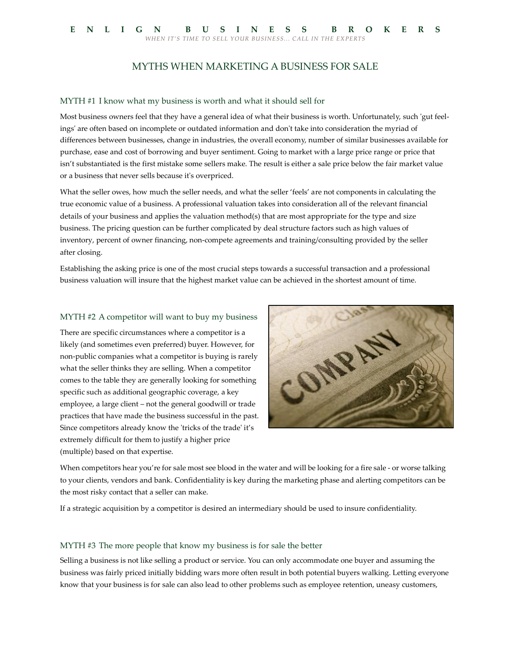# MYTHS WHEN MARKETING A BUSINESS FOR SALE

#### MYTH #1 I know what my business is worth and what it should sell for

Most business owners feel that they have a general idea of what their business is worth. Unfortunately, such 'gut feelings' are often based on incomplete or outdated information and don't take into consideration the myriad of differences between businesses, change in industries, the overall economy, number of similar businesses available for purchase, ease and cost of borrowing and buyer sentiment. Going to market with a large price range or price that isn't substantiated is the first mistake some sellers make. The result is either a sale price below the fair market value or a business that never sells because it's overpriced.

What the seller owes, how much the seller needs, and what the seller 'feels' are not components in calculating the true economic value of a business. A professional valuation takes into consideration all of the relevant financial details of your business and applies the valuation method(s) that are most appropriate for the type and size business. The pricing question can be further complicated by deal structure factors such as high values of inventory, percent of owner financing, non-compete agreements and training/consulting provided by the seller after closing.

Establishing the asking price is one of the most crucial steps towards a successful transaction and a professional business valuation will insure that the highest market value can be achieved in the shortest amount of time.

#### MYTH #2 A competitor will want to buy my business

There are specific circumstances where a competitor is a likely (and sometimes even preferred) buyer. However, for<br>non-public companies what a competitor is buying is rarely<br>what the seller thinks they are selling. When a competitor<br>comes to the table they are generally looking non-public companies what a competitor is buying is rarely what the seller thinks they are selling. When a competitor comes to the table they are generally looking for something specific such as additional geographic coverage, a key employee, a large client – not the general goodwill or trade practices that have made the business successful in the past. Since competitors already know the 'tricks of the trade' it's extremely difficult for them to justify a higher price (multiple) based on that expertise.



When competitors hear you're for sale most see blood in the water and will be looking for a fire sale - or worse talking to your clients, vendors and bank. Confidentiality is key during the marketing phase and alerting competitors can be the most risky contact that a seller can make.

If a strategic acquisition by a competitor is desired an intermediary should be used to insure confidentiality.

#### MYTH #3 The more people that know my business is for sale the better

Selling a business is not like selling a product or service. You can only accommodate one buyer and assuming the business was fairly priced initially bidding wars more often result in both potential buyers walking. Letting everyone know that your business is for sale can also lead to other problems such as employee retention, uneasy customers,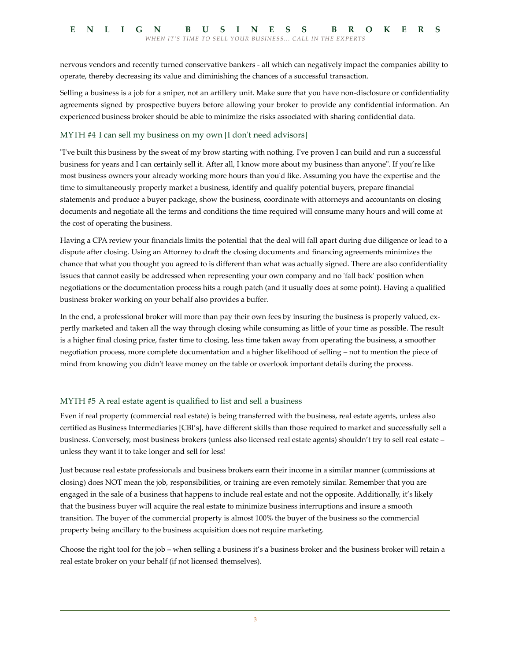nervous vendors and recently turned conservative bankers - all which can negatively impact the companies ability to operate, thereby decreasing its value and diminishing the chances of a successful transaction.

Selling a business is a job for a sniper, not an artillery unit. Make sure that you have non-disclosure or confidentiality agreements signed by prospective buyers before allowing your broker to provide any confidential information. An experienced business broker should be able to minimize the risks associated with sharing confidential data.

# MYTH #4 I can sell my business on my own [I don't need advisors]

"I've built this business by the sweat of my brow starting with nothing. I've proven I can build and run a successful business for years and I can certainly sell it. After all, I know more about my business than anyone". If you're like most business owners your already working more hours than you'd like. Assuming you have the expertise and the time to simultaneously properly market a business, identify and qualify potential buyers, prepare financial statements and produce a buyer package, show the business, coordinate with attorneys and accountants on closing documents and negotiate all the terms and conditions the time required will consume many hours and will come at the cost of operating the business.

Having a CPA review your financials limits the potential that the deal will fall apart during due diligence or lead to a dispute after closing. Using an Attorney to draft the closing documents and financing agreements minimizes the chance that what you thought you agreed to is different than what was actually signed. There are also confidentiality issues that cannot easily be addressed when representing your own company and no 'fall back' position when negotiations or the documentation process hits a rough patch (and it usually does at some point). Having a qualified business broker working on your behalf also provides a buffer.

In the end, a professional broker will more than pay their own fees by insuring the business is properly valued, ex pertly marketed and taken all the way through closing while consuming as little of your time as possible. The result is a higher final closing price, faster time to closing, less time taken away from operating the business, a smoother negotiation process, more complete documentation and a higher likelihood of selling – not to mention the piece of mind from knowing you didn't leave money on the table or overlook important details during the process.

# MYTH #5 A real estate agent is qualified to list and sell a business

Even if real property (commercial real estate) is being transferred with the business, real estate agents, unless also certified as Business Intermediaries [CBI's], have different skills than those required to market and successfully sell a business. Conversely, most business brokers (unless also licensed real estate agents) shouldn't try to sell real estate – unless they want it to take longer and sell for less!

Just because real estate professionals and business brokers earn their income in a similar manner (commissions at closing) does NOT mean the job, responsibilities, or training are even remotely similar. Remember that you are engaged in the sale of a business that happens to include real estate and not the opposite. Additionally, it's likely that the business buyer will acquire the real estate to minimize business interruptions and insure a smooth transition. The buyer of the commercial property is almost 100% the buyer of the business so the commercial property being ancillary to the business acquisition does not require marketing.

Choose the right tool for the job – when selling a business it's a business broker and the business broker will retain a real estate broker on your behalf (if not licensed themselves).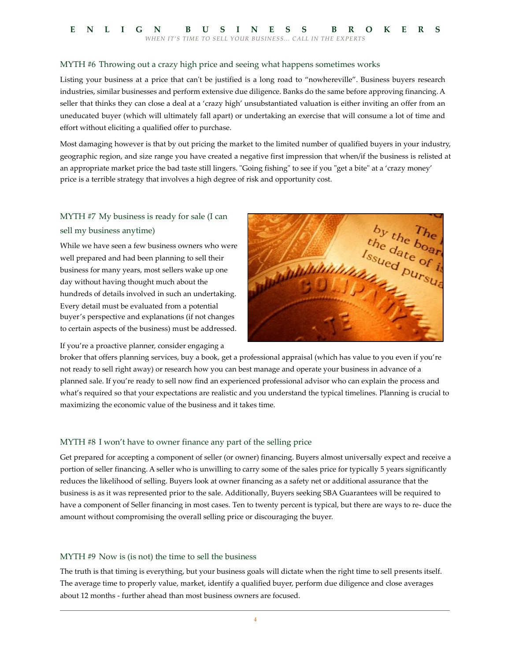# MYTH #6 Throwing out a crazy high price and seeing what happens sometimes works

Listing your business at a price that can't be justified is a long road to "nowhereville". Business buyers research industries, similar businesses and perform extensive due diligence. Banks do the same before approving financing. A seller that thinks they can close a deal at a 'crazy high' unsubstantiated valuation is either inviting an offer from an uneducated buyer (which will ultimately fall apart) or undertaking an exercise that will consume a lot of time and effort without eliciting a qualified offer to purchase.

Most damaging however is that by out pricing the market to the limited number of qualified buyers in your industry, geographic region, and size range you have created a negative first impression that when/if the business is relisted at an appropriate market price the bad taste still lingers. "Going fishing" to see if you "get a bite" at a 'crazy money' price is a terrible strategy that involves a high degree of risk and opportunity cost.

# MYTH #7 My business is ready for sale (I can sell my business anytime)

While we have seen a few business owners who were well prepared and had been planning to sell their business for many years, most sellers wake up one day without having thought much about the hundreds of details involved in such an undertaking. Every detail must be evaluated from a potential buyer's perspective and explanations (if not changes to certain aspects of the business) must be addressed.

If you're a proactive planner, consider engaging a



broker that offers planning services, buy a book, get a professional appraisal (which has value to you even if you're not ready to sell right away) or research how you can best manage and operate your business in advance of a planned sale. If you're ready to sell now find an experienced professional advisor who can explain the process and what's required so that your expectations are realistic and you understand the typical timelines. Planning is crucial to maximizing the economic value of the business and it takes time.

## MYTH #8 I won't have to owner finance any part of the selling price

Get prepared for accepting a component of seller (or owner) financing. Buyers almost universally expect and receive a portion of seller financing. A seller who is unwilling to carry some of the sales price for typically 5 years significantly reduces the likelihood of selling. Buyers look at owner financing as a safety net or additional assurance that the business is as it was represented prior to the sale. Additionally, Buyers seeking SBA Guarantees will be required to have a component of Seller financing in most cases. Ten to twenty percent is typical, but there are ways to re- duce the amount without compromising the overall selling price or discouraging the buyer.

## MYTH #9 Now is (is not) the time to sell the business

The truth is that timing is everything, but your business goals will dictate when the right time to sell presents itself. The average time to properly value, market, identify a qualified buyer, perform due diligence and close averages about 12 months - further ahead than most business owners are focused.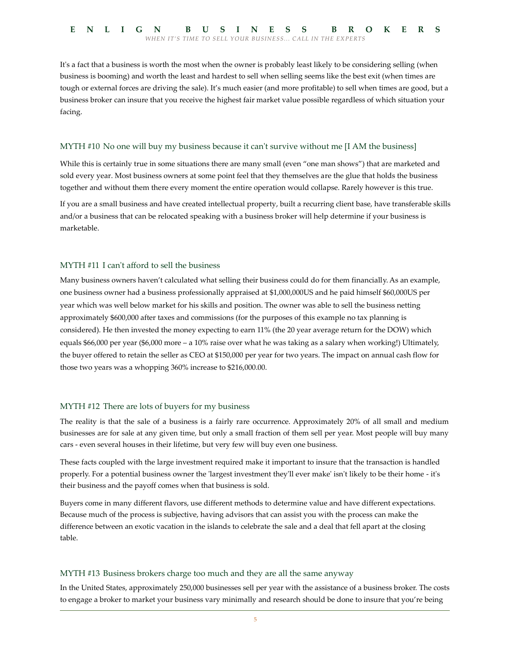It's a fact that a business is worth the most when the owner is probably least likely to be considering selling (when business is booming) and worth the least and hardest to sell when selling seems like the best exit (when times are tough or external forces are driving the sale). It's much easier (and more profitable) to sell when times are good, but a business broker can insure that you receive the highest fair market value possible regardless of which situation your facing.

## MYTH #10 No one will buy my business because it can't survive without me [I AM the business]

While this is certainly true in some situations there are many small (even "one man shows") that are marketed and sold every year. Most business owners at some point feel that they themselves are the glue that holds the business together and without them there every moment the entire operation would collapse. Rarely however is this true.

If you are a small business and have created intellectual property, built a recurring client base, have transferable skills and/or a business that can be relocated speaking with a business broker will help determine if your business is marketable.

## MYTH #11 I can't afford to sell the business

Many business owners haven't calculated what selling their business could do for them financially. As an example, one business owner had a business professionally appraised at \$1,000,000US and he paid himself \$60,000US per year which was well below market for his skills and position. The owner was able to sell the business netting approximately \$600,000 after taxes and commissions (for the purposes of this example no tax planning is considered). He then invested the money expecting to earn 11% (the 20 year average return for the DOW) which equals \$66,000 per year (\$6,000 more – a 10% raise over what he was taking as a salary when working!) Ultimately, the buyer offered to retain the seller as CEO at \$150,000 per year for two years. The impact on annual cash flow for those two years was a whopping 360% increase to \$216,000.00.

## MYTH #12 There are lots of buyers for my business

The reality is that the sale of a business is a fairly rare occurrence. Approximately 20% of all small and medium businesses are for sale at any given time, but only a small fraction of them sell per year. Most people will buy many cars - even several houses in their lifetime, but very few will buy even one business.

These facts coupled with the large investment required make it important to insure that the transaction is handled properly. For a potential business owner the 'largest investment they'll ever make' isn't likely to be their home - it's their business and the payoff comes when that business is sold.

Buyers come in many different flavors, use different methods to determine value and have different expectations. Because much of the process is subjective, having advisors that can assist you with the process can make the difference between an exotic vacation in the islands to celebrate the sale and a deal that fell apart at the closing table.

## MYTH #13 Business brokers charge too much and they are all the same anyway

In the United States, approximately 250,000 businesses sell per year with the assistance of a business broker. The costs to engage a broker to market your business vary minimally and research should be done to insure that you're being